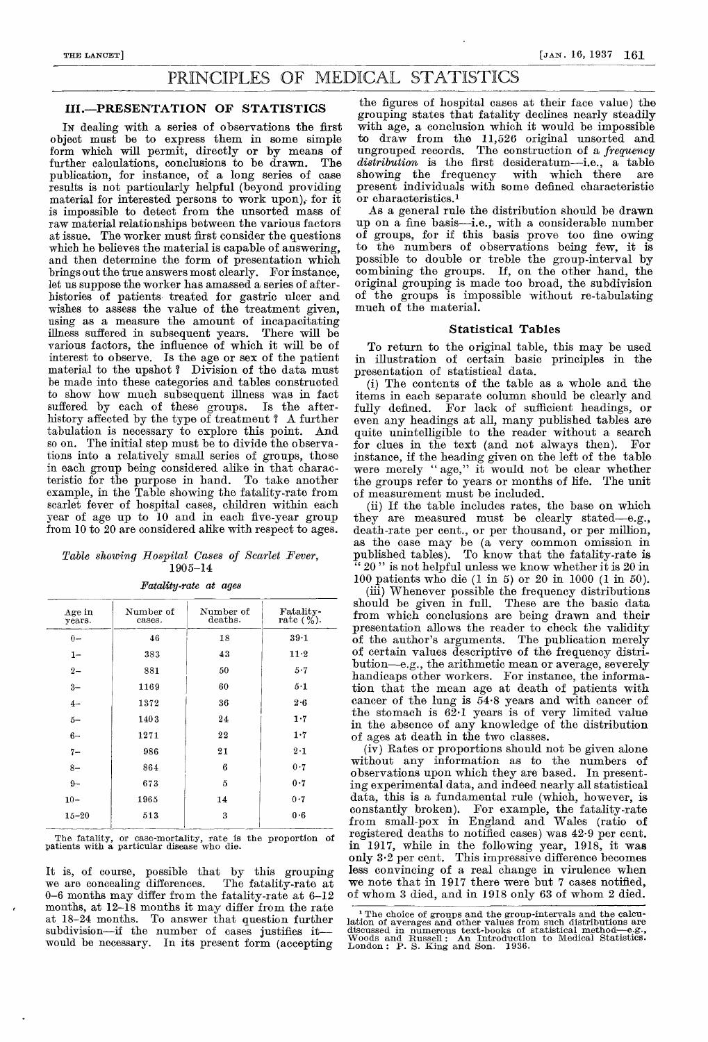# PRINCIPLES OF MEDICAL STATISTICS

## III.—PRESENTATION OF STATISTICS

IN dealing with a series of observations the first object must be to express them in some simple form which will permit, directly or by means of further calculations, conclusions to be drawn. The publication, for instance, of a long series of case results is not particularly helpful (beyond providing material for interested persons to work upon), for it is impossible to detect from the unsorted mass of raw material relationships between the various factors at issue. The worker must first consider the questions which he believes the material is capable of answering, and then determine the form of presentation which brings out the true answers most clearly. For instance, let us suppose the worker has amassed a series of afterhistories of patients treated for gastric ulcer and wishes to assess the value of the treatment given, using as a measure the amount of incapacitating illness suffered in subsequent years. There will be illness suffered in subsequent years. various factors, the influence of which it will be of interest to observe. Is the age or sex of the patient material to the upshot ? Division of the data must be made into these categories and tables constructed to show how much subsequent illness was in fact suffered by each of these groups. history affected by the type of treatment ? A further tabulation is necessary to explore this point. And so on. The initial step must be to divide the observations into a relatively small series of groups, those in each group being considered alike in that characteristic for the purpose in hand. To take another example, in the Table showing the fatality-rate from scarlet fever of hospital cases, children within each year of age up to 10 and in each five-year group from 10 to 20 are considered alike with respect to ages.

## Table showing Hospital Cases of Scarlet Fever, 1905-14

| ratainty-rate at ages |  |  |
|-----------------------|--|--|
|                       |  |  |

| Age in    | Number of | Number of | Fatality-    |
|-----------|-----------|-----------|--------------|
| years.    | cases.    | deaths.   | rate $(\%).$ |
| $0 -$     | 46        | 18        | $39-1$       |
| $1-$      | 383       | 43        | 11.2         |
| $2 -$     | 881       | 50        | 5.7          |
| $3-$      | 1169      | 60        | $5-1$        |
| $4-$      | 1372      | 36        | 2.6          |
| $5-$      | 1403      | 24        | $1 - 7$      |
| $6-$      | 1271      | 22        | 1.7          |
| $7-$      | 986       | 21        | $2 \cdot 1$  |
| $8-$      | 864       | 6         | 0.7          |
| $9-$      | 673       | 5         | 0.7          |
| $10 -$    | 1965      | 14        | 0.7          |
| $15 - 20$ | 513       | 3         | 0.6          |
|           |           |           |              |

The fatality, or case-mortality, rate is the proportion of patients with a particular disease who die.

It is, of course, possible that by this grouping we are concealing differences. The fatality-rate at 0-6 months may differ from the fatality-rate at 6-12 months, at 12-18 months it may differ from the rate at 18-24 months. To answer that question further subdivision-if the number of cases justifies itwould be necessary. In its present form (accepting

the figures of hospital cases at their face value) the grouping states that fatality declines nearly steadily with age, a conclusion which it would be impossible to draw from the 11,526 original unsorted and ungrouped records. The construction of a *frequency* distribution is the first desideratum-i.e., a table showing the frequency with which there are present individuals with some defined characteristic or characteristics. 1

As a general rule the distribution should be drawn up on a fine basis-i.e., with a considerable number of groups, for if this basis prove too fine owing to the numbers of observations being few, it is possible to double or treble the group-interval by combining the groups. If, on the other hand, the original grouping is made too broad, the subdivision of the groups is impossible without re-tabulating much of the material.

### Statistical Tables

To return to the original table, this may be used in illustration of certain basic principles in the presentation of statistical data.

(i) The contents of the table as a whole and the items in each separate column should be clearly and fully defined. For lack of sufficient headings, or even any headings at all, many published tables are quite unintelligible to the reader without a search<br>for clues in the text (and not always then). For for clues in the text (and not always then). instance, if the heading given on the left of the table were merely " age," it would not be clear whether the groups refer to years or months of life. The unit of measurement must be included.

(ii) If the table includes rates, the base on which they are measured must be clearly stated-e.g., death-rate per cent., or per thousand, or per million, death-rate per cent., or per thousand, or per million, as the case may be (a very common omission in published tables). To know that the fatality-rate is " 20" is not helpful unless we know whether it is 20 in 100 patients who die (1 in 5) or 20 in 1000 (1 in 50).

(iii) Whenever possible the frequency distributions should be given in full. These are the basic data from which conclusions are being drawn and their presentation allows the reader to check the validity of the author's arguments. The publication merely of certain values descriptive of the frequency distribution-e.g., the arithmetic mean or average, severely handicaps other workers. For instance, the information that the mean age at death of patients with cancer of the lung is 54-8 years and with cancer of the stomach is 62-1 years is of very limited value in the absence of any knowledge of the distribution of ages at death in the two classes.

(iv) Rates or proportions should not be given alone without any information as to the numbers of observations upon which they are based. In presenting experimental data, and indeed nearly all statistical data, this is a fundamental rule (which, however, is constantly broken). For example, the fatality-rate from small-pox in England and Wales (ratio of registered deaths to notified cases) was 42-9 per cent. in 1917, while in the following year, 1918, it was only 3-2 per cent. This impressive difference becomes less convincing of a real change in virulence when we note that in 1917 there were but 7 cases notified, of whom 3 died, and in 1918 only 63 of whom 2 died.

<sup>&</sup>lt;sup>1</sup> The choice of groups and the group-intervals and the calculation of averages and other values from such distributions are discussed in numerous text-books of statistical method—e.g., Woods and Russell: An Introduction London: P. S. King and Son. 1936.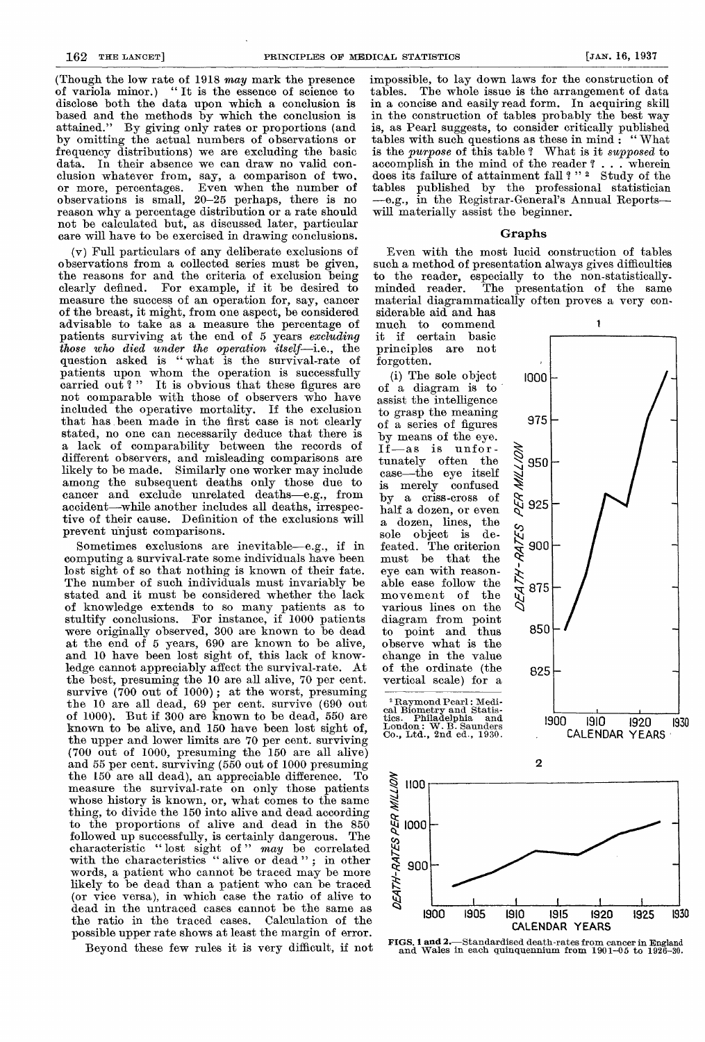[JAN. 16, 1937

(Though the low rate of 1918 may mark the presence of variola minor.) " It is the essence of science to disclose both the data upon which a conclusion is based and the methods by which the conclusion is attained." By giving only rates or proportions (and by omitting the actual numbers of observations or frequency distributions) we are excluding the basic data. In their absence we can draw no valid conclusion whatever from, say, a comparison of two, or more, percentages. Even when the number of observations is small, 20-25 perhaps, there is no reason why a percentage distribution or a rate should not be calculated but, as discussed later, particular care will have to be exercised in drawing conclusions.

(v) Full particulars of any deliberate exclusions of observations from a collected series must be given, the reasons for and the criteria of exclusion being clearly defined. For example, if it be desired to measure the success of an operation for, say, cancer of the breast, it might, from one aspect, be considered advisable to take as a measure the percentage of patients surviving at the end of 5 years excluding those who died under the operation itself-i.e., the question asked is " what is the survival-rate of patients upon whom the operation is successfully carried out?" It is obvious that these figures are not comparable with those of observers who have included the operative mortality. If the exclusion that has been made in the first case is not clearly stated, no one can necessarily deduce that there is a lack of comparability between the records of different observers, and misleading comparisons are likely to be made. Similarly one worker may include among the subsequent deaths only those due to cancer and exclude unrelated deaths-e.g., from accident-while another includes all deaths, irrespective of their cause. Definition of the exclusions will prevent unjust comparisons.

Sometimes exclusions are inevitable-e.g., if in computing a survival-rate some individuals have been lost sight of so that nothing is known of their fate. The number of such individuals must invariably be stated and it must be considered whether the lack of knowledge extends to so many patients as to were originally observed, 300 are known to be dead at the end of 5 years, 690 are known to be alive, and 10 have been lost sight of, this lack of knowledge cannot appreciably affect the survival-rate. At the best, presuming the 10 are all alive, 70 per cent. survive (700 out of 1000); at the worst, presuming the 10 are all dead, 69 per cent. survive (690 out of 1000). But if 300 are known to be dead, 550 are known to be alive, and 150 have been lost sight of, the upper and lower limits are 70 per cent. surviving (700 out of 1000, presuming the 150 are all alive) and 55 per cent. surviving (550 out of 1000 presuming the 150 are all dead), an appreciable difference. To measure the survival-rate on only those patients whose history is known, or, what comes to the same thing, to divide the 150 into alive and dead according to the proportions of alive and dead in the 850 followed up successfully, is certainly dangerous. The characteristic "lost sight of" may be correlated<br>with the characteristics "alive or dead"; in other words, a patient who cannot be traced may be more likely to be dead than a patient who can be traced (or vice versa), in which case the ratio of alive to dead in the untraced cases cannot be the same as the ratio in the traced cases. Calculation of the possible upper rate shows at least the margin of error.

Beyond these few rules it is very difficult, if not

impossible, to lay down laws for the construction of tables. The whole issue is the arrangement of data in a concise and easily read form. In acquiring skill in the construction of tables probably the best way is, as Pearl suggests, to consider critically published tables with such questions as these in mind : " What is the *purpose* of this table ? What is it *supposed* to accomplish in the mind of the reader ? ... wherein does its failure of attainment fall ?" <sup>2</sup> Study of the tables published by the professional statistician -e.g., in the Registrar-General's Annual Reportswill materially assist the beginner.

### Graphs

Even with the most lucid construction of tables such a method of presentation always gives difficulties to the reader, especially to the non-statistically-<br>minded reader. The presentation of the same The presentation of the same material diagrammatically often proves a very con.

siderable aid and has much to commend 1 it if certain basic principles are not forgotten.

(i) The sole object of a diagram is to assist the intelligence to grasp the meaning of a series of figures by means of the eye. If—as is unfor-<br>tunately often the<br>case—the eye itself<br>is merely confused tunately often the case-the eye itself is merely confused by a criss-cross of half a dozen, or even a dozen, lines, the sole object is feated. The criterion must be that the eye can with reasonable ease follow the movement of the various lines on the diagram from point to point and thus observe what is the change in the value of the ordinate (the vertical scale) for a

900







FIGS. 1 and 2.-Standardised death-rates from cancer in England and Wales in each quinquennium from 1901-05 to 1926-30.